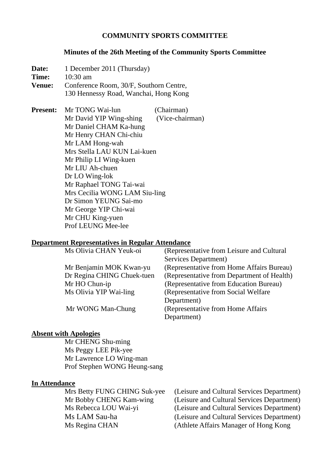### **COMMUNITY SPORTS COMMITTEE**

#### **Minutes of the 26th Meeting of the Community Sports Committee**

**Date:** 1 December 2011 (Thursday) **Time:** 10:30 am **Venue:** Conference Room, 30/F, Southorn Centre, 130 Hennessy Road, Wanchai, Hong Kong **Present:** Mr TONG Wai-lun (Chairman) Mr David YIP Wing-shing (Vice-chairman) Mr Daniel CHAM Ka-hung Mr Henry CHAN Chi-chiu Mr LAM Hong-wah Mrs Stella LAU KUN Lai-kuen

 Mr Philip LI Wing-kuen Mr LIU Ah-chuen Dr LO Wing-lok Mr Raphael TONG Tai-wai Mrs Cecilia WONG LAM Siu-ling Dr Simon YEUNG Sai-mo Mr George YIP Chi-wai Mr CHU King-yuen Prof LEUNG Mee-lee

#### **Department Representatives in Regular Attendance**

| Ms Olivia CHAN Yeuk-oi     | (Representative from Leisure and Cultural  |
|----------------------------|--------------------------------------------|
|                            | Services Department)                       |
| Mr Benjamin MOK Kwan-yu    | (Representative from Home Affairs Bureau)  |
| Dr Regina CHING Chuek-tuen | (Representative from Department of Health) |
| Mr HO Chun-ip              | (Representative from Education Bureau)     |
| Ms Olivia YIP Wai-ling     | (Representative from Social Welfare)       |
|                            | Department)                                |
| Mr WONG Man-Chung          | (Representative from Home Affairs)         |
|                            | Department)                                |

### **Absent with Apologies**

 Mr CHENG Shu-ming Ms Peggy LEE Pik-yee Mr Lawrence LO Wing-man Prof Stephen WONG Heung-sang

### **In Attendance**

 Mrs Betty FUNG CHING Suk-yee (Leisure and Cultural Services Department) Mr Bobby CHENG Kam-wing (Leisure and Cultural Services Department) Ms Rebecca LOU Wai-yi (Leisure and Cultural Services Department) Ms LAM Sau-ha (Leisure and Cultural Services Department) Ms Regina CHAN (Athlete Affairs Manager of Hong Kong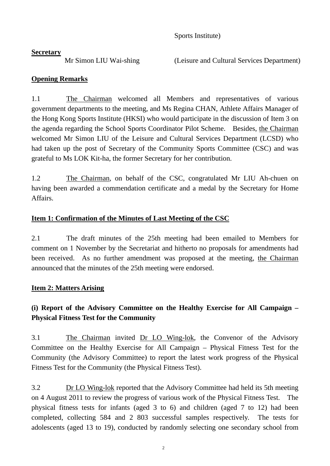Sports Institute)

## **Secretary**

Mr Simon LIU Wai-shing (Leisure and Cultural Services Department)

# **Opening Remarks**

1.1 The Chairman welcomed all Members and representatives of various government departments to the meeting, and Ms Regina CHAN, Athlete Affairs Manager of the Hong Kong Sports Institute (HKSI) who would participate in the discussion of Item 3 on the agenda regarding the School Sports Coordinator Pilot Scheme. Besides, the Chairman welcomed Mr Simon LIU of the Leisure and Cultural Services Department (LCSD) who had taken up the post of Secretary of the Community Sports Committee (CSC) and was grateful to Ms LOK Kit-ha, the former Secretary for her contribution.

1.2 The Chairman, on behalf of the CSC, congratulated Mr LIU Ah-chuen on having been awarded a commendation certificate and a medal by the Secretary for Home Affairs.

# **Item 1: Confirmation of the Minutes of Last Meeting of the CSC**

2.1 The draft minutes of the 25th meeting had been emailed to Members for comment on 1 November by the Secretariat and hitherto no proposals for amendments had been received. As no further amendment was proposed at the meeting, the Chairman announced that the minutes of the 25th meeting were endorsed.

# **Item 2: Matters Arising**

# **(i) Report of the Advisory Committee on the Healthy Exercise for All Campaign – Physical Fitness Test for the Community**

3.1 The Chairman invited Dr LO Wing-lok, the Convenor of the Advisory Committee on the Healthy Exercise for All Campaign – Physical Fitness Test for the Community (the Advisory Committee) to report the latest work progress of the Physical Fitness Test for the Community (the Physical Fitness Test).

3.2 Dr LO Wing-lok reported that the Advisory Committee had held its 5th meeting on 4 August 2011 to review the progress of various work of the Physical Fitness Test. The physical fitness tests for infants (aged 3 to 6) and children (aged 7 to 12) had been completed, collecting 584 and 2 803 successful samples respectively. The tests for adolescents (aged 13 to 19), conducted by randomly selecting one secondary school from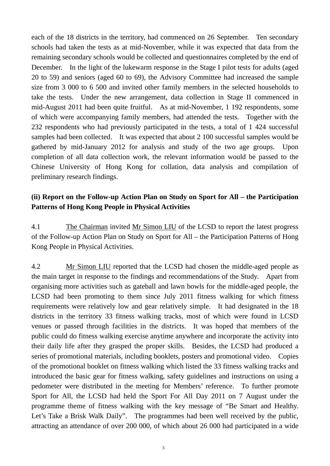each of the 18 districts in the territory, had commenced on 26 September. Ten secondary schools had taken the tests as at mid-November, while it was expected that data from the remaining secondary schools would be collected and questionnaires completed by the end of December. In the light of the lukewarm response in the Stage I pilot tests for adults (aged 20 to 59) and seniors (aged 60 to 69), the Advisory Committee had increased the sample size from 3 000 to 6 500 and invited other family members in the selected households to take the tests. Under the new arrangement, data collection in Stage II commenced in mid-August 2011 had been quite fruitful. As at mid-November, 1 192 respondents, some of which were accompanying family members, had attended the tests. Together with the 232 respondents who had previously participated in the tests, a total of 1 424 successful samples had been collected. It was expected that about 2 100 successful samples would be gathered by mid-January 2012 for analysis and study of the two age groups. Upon completion of all data collection work, the relevant information would be passed to the Chinese University of Hong Kong for collation, data analysis and compilation of preliminary research findings.

## **(ii) Report on the Follow-up Action Plan on Study on Sport for All – the Participation Patterns of Hong Kong People in Physical Activities**

4.1 The Chairman invited Mr Simon LIU of the LCSD to report the latest progress of the Follow-up Action Plan on Study on Sport for All – the Participation Patterns of Hong Kong People in Physical Activities.

4.2 Mr Simon LIU reported that the LCSD had chosen the middle-aged people as the main target in response to the findings and recommendations of the Study. Apart from organising more activities such as gateball and lawn bowls for the middle-aged people, the LCSD had been promoting to them since July 2011 fitness walking for which fitness requirements were relatively low and gear relatively simple. It had designated in the 18 districts in the territory 33 fitness walking tracks, most of which were found in LCSD venues or passed through facilities in the districts. It was hoped that members of the public could do fitness walking exercise anytime anywhere and incorporate the activity into their daily life after they grasped the proper skills. Besides, the LCSD had produced a series of promotional materials, including booklets, posters and promotional video. Copies of the promotional booklet on fitness walking which listed the 33 fitness walking tracks and introduced the basic gear for fitness walking, safety guidelines and instructions on using a pedometer were distributed in the meeting for Members' reference. To further promote Sport for All, the LCSD had held the Sport For All Day 2011 on 7 August under the programme theme of fitness walking with the key message of "Be Smart and Healthy. Let's Take a Brisk Walk Daily". The programmes had been well received by the public, attracting an attendance of over 200 000, of which about 26 000 had participated in a wide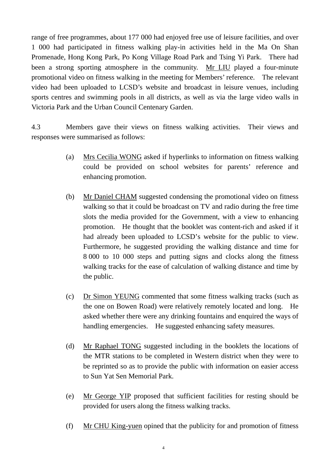range of free programmes, about 177 000 had enjoyed free use of leisure facilities, and over 1 000 had participated in fitness walking play-in activities held in the Ma On Shan Promenade, Hong Kong Park, Po Kong Village Road Park and Tsing Yi Park. There had been a strong sporting atmosphere in the community. Mr LIU played a four-minute promotional video on fitness walking in the meeting for Members' reference. The relevant video had been uploaded to LCSD's website and broadcast in leisure venues, including sports centres and swimming pools in all districts, as well as via the large video walls in Victoria Park and the Urban Council Centenary Garden.

4.3 Members gave their views on fitness walking activities. Their views and responses were summarised as follows:

- (a) Mrs Cecilia WONG asked if hyperlinks to information on fitness walking could be provided on school websites for parents' reference and enhancing promotion.
- (b) Mr Daniel CHAM suggested condensing the promotional video on fitness walking so that it could be broadcast on TV and radio during the free time slots the media provided for the Government, with a view to enhancing promotion. He thought that the booklet was content-rich and asked if it had already been uploaded to LCSD's website for the public to view. Furthermore, he suggested providing the walking distance and time for 8 000 to 10 000 steps and putting signs and clocks along the fitness walking tracks for the ease of calculation of walking distance and time by the public.
- (c) Dr Simon YEUNG commented that some fitness walking tracks (such as the one on Bowen Road) were relatively remotely located and long. He asked whether there were any drinking fountains and enquired the ways of handling emergencies. He suggested enhancing safety measures.
- (d) Mr Raphael TONG suggested including in the booklets the locations of the MTR stations to be completed in Western district when they were to be reprinted so as to provide the public with information on easier access to Sun Yat Sen Memorial Park.
- (e) Mr George YIP proposed that sufficient facilities for resting should be provided for users along the fitness walking tracks.
- (f) Mr CHU King-yuen opined that the publicity for and promotion of fitness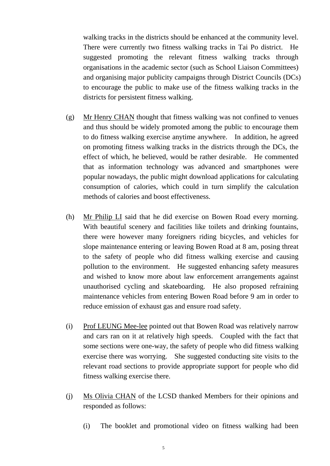walking tracks in the districts should be enhanced at the community level. There were currently two fitness walking tracks in Tai Po district. He suggested promoting the relevant fitness walking tracks through organisations in the academic sector (such as School Liaison Committees) and organising major publicity campaigns through District Councils (DCs) to encourage the public to make use of the fitness walking tracks in the districts for persistent fitness walking.

- (g) Mr Henry CHAN thought that fitness walking was not confined to venues and thus should be widely promoted among the public to encourage them to do fitness walking exercise anytime anywhere. In addition, he agreed on promoting fitness walking tracks in the districts through the DCs, the effect of which, he believed, would be rather desirable. He commented that as information technology was advanced and smartphones were popular nowadays, the public might download applications for calculating consumption of calories, which could in turn simplify the calculation methods of calories and boost effectiveness.
- (h) Mr Philip LI said that he did exercise on Bowen Road every morning. With beautiful scenery and facilities like toilets and drinking fountains, there were however many foreigners riding bicycles, and vehicles for slope maintenance entering or leaving Bowen Road at 8 am, posing threat to the safety of people who did fitness walking exercise and causing pollution to the environment. He suggested enhancing safety measures and wished to know more about law enforcement arrangements against unauthorised cycling and skateboarding. He also proposed refraining maintenance vehicles from entering Bowen Road before 9 am in order to reduce emission of exhaust gas and ensure road safety.
- (i) Prof LEUNG Mee-lee pointed out that Bowen Road was relatively narrow and cars ran on it at relatively high speeds. Coupled with the fact that some sections were one-way, the safety of people who did fitness walking exercise there was worrying. She suggested conducting site visits to the relevant road sections to provide appropriate support for people who did fitness walking exercise there.
- (j) Ms Olivia CHAN of the LCSD thanked Members for their opinions and responded as follows:
	- (i) The booklet and promotional video on fitness walking had been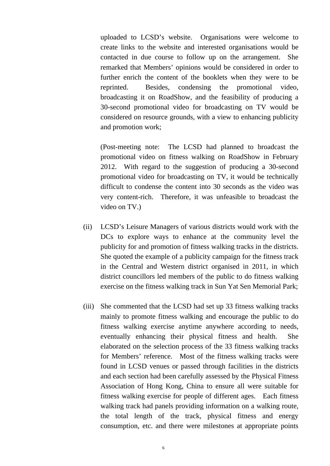uploaded to LCSD's website. Organisations were welcome to create links to the website and interested organisations would be contacted in due course to follow up on the arrangement. She remarked that Members' opinions would be considered in order to further enrich the content of the booklets when they were to be reprinted. Besides, condensing the promotional video, broadcasting it on RoadShow, and the feasibility of producing a 30-second promotional video for broadcasting on TV would be considered on resource grounds, with a view to enhancing publicity and promotion work;

 (Post-meeting note: The LCSD had planned to broadcast the promotional video on fitness walking on RoadShow in February 2012. With regard to the suggestion of producing a 30-second promotional video for broadcasting on TV, it would be technically difficult to condense the content into 30 seconds as the video was very content-rich. Therefore, it was unfeasible to broadcast the video on TV.)

- (ii) LCSD's Leisure Managers of various districts would work with the DCs to explore ways to enhance at the community level the publicity for and promotion of fitness walking tracks in the districts. She quoted the example of a publicity campaign for the fitness track in the Central and Western district organised in 2011, in which district councillors led members of the public to do fitness walking exercise on the fitness walking track in Sun Yat Sen Memorial Park;
- (iii) She commented that the LCSD had set up 33 fitness walking tracks mainly to promote fitness walking and encourage the public to do fitness walking exercise anytime anywhere according to needs, eventually enhancing their physical fitness and health. She elaborated on the selection process of the 33 fitness walking tracks for Members' reference. Most of the fitness walking tracks were found in LCSD venues or passed through facilities in the districts and each section had been carefully assessed by the Physical Fitness Association of Hong Kong, China to ensure all were suitable for fitness walking exercise for people of different ages. Each fitness walking track had panels providing information on a walking route, the total length of the track, physical fitness and energy consumption, etc. and there were milestones at appropriate points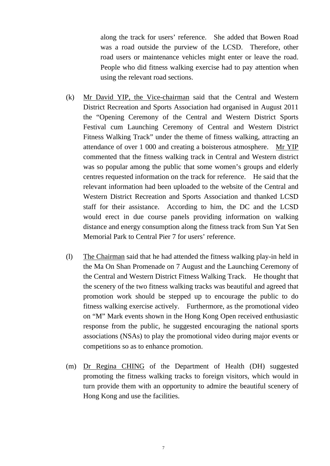along the track for users' reference. She added that Bowen Road was a road outside the purview of the LCSD. Therefore, other road users or maintenance vehicles might enter or leave the road. People who did fitness walking exercise had to pay attention when using the relevant road sections.

- (k) Mr David YIP, the Vice-chairman said that the Central and Western District Recreation and Sports Association had organised in August 2011 the "Opening Ceremony of the Central and Western District Sports Festival cum Launching Ceremony of Central and Western District Fitness Walking Track" under the theme of fitness walking, attracting an attendance of over 1 000 and creating a boisterous atmosphere. Mr YIP commented that the fitness walking track in Central and Western district was so popular among the public that some women's groups and elderly centres requested information on the track for reference. He said that the relevant information had been uploaded to the website of the Central and Western District Recreation and Sports Association and thanked LCSD staff for their assistance. According to him, the DC and the LCSD would erect in due course panels providing information on walking distance and energy consumption along the fitness track from Sun Yat Sen Memorial Park to Central Pier 7 for users' reference.
- (l) The Chairman said that he had attended the fitness walking play-in held in the Ma On Shan Promenade on 7 August and the Launching Ceremony of the Central and Western District Fitness Walking Track. He thought that the scenery of the two fitness walking tracks was beautiful and agreed that promotion work should be stepped up to encourage the public to do fitness walking exercise actively. Furthermore, as the promotional video on "M" Mark events shown in the Hong Kong Open received enthusiastic response from the public, he suggested encouraging the national sports associations (NSAs) to play the promotional video during major events or competitions so as to enhance promotion.
- (m) Dr Regina CHING of the Department of Health (DH) suggested promoting the fitness walking tracks to foreign visitors, which would in turn provide them with an opportunity to admire the beautiful scenery of Hong Kong and use the facilities.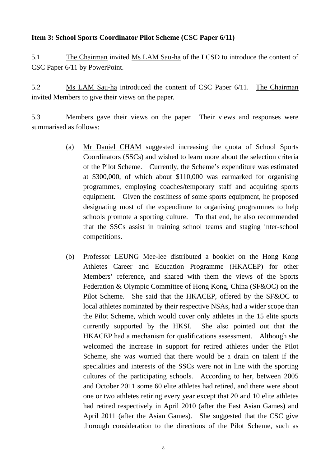## **Item 3: School Sports Coordinator Pilot Scheme (CSC Paper 6/11)**

5.1 The Chairman invited Ms LAM Sau-ha of the LCSD to introduce the content of CSC Paper 6/11 by PowerPoint.

5.2 Ms LAM Sau-ha introduced the content of CSC Paper 6/11. The Chairman invited Members to give their views on the paper.

5.3 Members gave their views on the paper. Their views and responses were summarised as follows:

- (a) Mr Daniel CHAM suggested increasing the quota of School Sports Coordinators (SSCs) and wished to learn more about the selection criteria of the Pilot Scheme. Currently, the Scheme's expenditure was estimated at \$300,000, of which about \$110,000 was earmarked for organising programmes, employing coaches/temporary staff and acquiring sports equipment. Given the costliness of some sports equipment, he proposed designating most of the expenditure to organising programmes to help schools promote a sporting culture. To that end, he also recommended that the SSCs assist in training school teams and staging inter-school competitions.
- (b) Professor LEUNG Mee-lee distributed a booklet on the Hong Kong Athletes Career and Education Programme (HKACEP) for other Members' reference, and shared with them the views of the Sports Federation & Olympic Committee of Hong Kong, China (SF&OC) on the Pilot Scheme. She said that the HKACEP, offered by the SF&OC to local athletes nominated by their respective NSAs, had a wider scope than the Pilot Scheme, which would cover only athletes in the 15 elite sports currently supported by the HKSI. She also pointed out that the HKACEP had a mechanism for qualifications assessment. Although she welcomed the increase in support for retired athletes under the Pilot Scheme, she was worried that there would be a drain on talent if the specialities and interests of the SSCs were not in line with the sporting cultures of the participating schools. According to her, between 2005 and October 2011 some 60 elite athletes had retired, and there were about one or two athletes retiring every year except that 20 and 10 elite athletes had retired respectively in April 2010 (after the East Asian Games) and April 2011 (after the Asian Games). She suggested that the CSC give thorough consideration to the directions of the Pilot Scheme, such as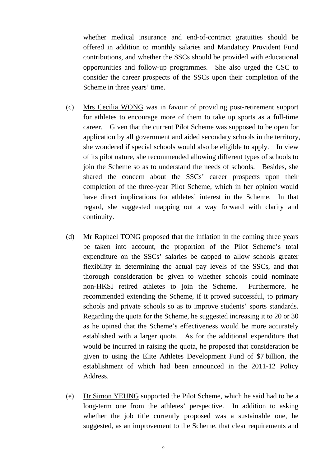whether medical insurance and end-of-contract gratuities should be offered in addition to monthly salaries and Mandatory Provident Fund contributions, and whether the SSCs should be provided with educational opportunities and follow-up programmes. She also urged the CSC to consider the career prospects of the SSCs upon their completion of the Scheme in three years' time.

- (c) Mrs Cecilia WONG was in favour of providing post-retirement support for athletes to encourage more of them to take up sports as a full-time career. Given that the current Pilot Scheme was supposed to be open for application by all government and aided secondary schools in the territory, she wondered if special schools would also be eligible to apply. In view of its pilot nature, she recommended allowing different types of schools to join the Scheme so as to understand the needs of schools. Besides, she shared the concern about the SSCs' career prospects upon their completion of the three-year Pilot Scheme, which in her opinion would have direct implications for athletes' interest in the Scheme. In that regard, she suggested mapping out a way forward with clarity and continuity.
- (d) Mr Raphael TONG proposed that the inflation in the coming three years be taken into account, the proportion of the Pilot Scheme's total expenditure on the SSCs' salaries be capped to allow schools greater flexibility in determining the actual pay levels of the SSCs, and that thorough consideration be given to whether schools could nominate non-HKSI retired athletes to join the Scheme. Furthermore, he recommended extending the Scheme, if it proved successful, to primary schools and private schools so as to improve students' sports standards. Regarding the quota for the Scheme, he suggested increasing it to 20 or 30 as he opined that the Scheme's effectiveness would be more accurately established with a larger quota. As for the additional expenditure that would be incurred in raising the quota, he proposed that consideration be given to using the Elite Athletes Development Fund of \$7 billion, the establishment of which had been announced in the 2011-12 Policy Address.
- (e) Dr Simon YEUNG supported the Pilot Scheme, which he said had to be a long-term one from the athletes' perspective. In addition to asking whether the job title currently proposed was a sustainable one, he suggested, as an improvement to the Scheme, that clear requirements and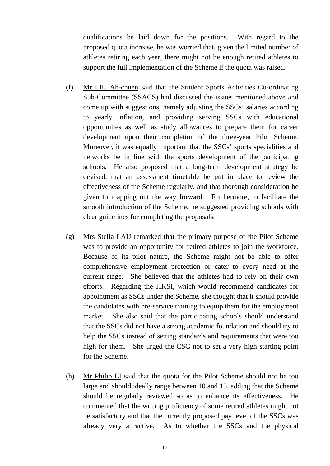qualifications be laid down for the positions. With regard to the proposed quota increase, he was worried that, given the limited number of athletes retiring each year, there might not be enough retired athletes to support the full implementation of the Scheme if the quota was raised.

- (f) Mr LIU Ah-chuen said that the Student Sports Activities Co-ordinating Sub-Committee (SSACS) had discussed the issues mentioned above and come up with suggestions, namely adjusting the SSCs' salaries according to yearly inflation, and providing serving SSCs with educational opportunities as well as study allowances to prepare them for career development upon their completion of the three-year Pilot Scheme. Moreover, it was equally important that the SSCs' sports specialities and networks be in line with the sports development of the participating schools. He also proposed that a long-term development strategy be devised, that an assessment timetable be put in place to review the effectiveness of the Scheme regularly, and that thorough consideration be given to mapping out the way forward. Furthermore, to facilitate the smooth introduction of the Scheme, he suggested providing schools with clear guidelines for completing the proposals.
- (g) Mrs Stella LAU remarked that the primary purpose of the Pilot Scheme was to provide an opportunity for retired athletes to join the workforce. Because of its pilot nature, the Scheme might not be able to offer comprehensive employment protection or cater to every need at the current stage. She believed that the athletes had to rely on their own efforts. Regarding the HKSI, which would recommend candidates for appointment as SSCs under the Scheme, she thought that it should provide the candidates with pre-service training to equip them for the employment market. She also said that the participating schools should understand that the SSCs did not have a strong academic foundation and should try to help the SSCs instead of setting standards and requirements that were too high for them. She urged the CSC not to set a very high starting point for the Scheme.
- (h) Mr Philip LI said that the quota for the Pilot Scheme should not be too large and should ideally range between 10 and 15, adding that the Scheme should be regularly reviewed so as to enhance its effectiveness. He commented that the writing proficiency of some retired athletes might not be satisfactory and that the currently proposed pay level of the SSCs was already very attractive. As to whether the SSCs and the physical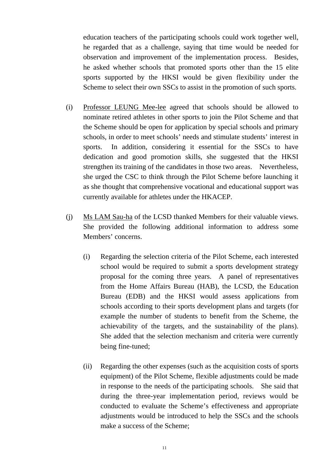education teachers of the participating schools could work together well, he regarded that as a challenge, saying that time would be needed for observation and improvement of the implementation process. Besides, he asked whether schools that promoted sports other than the 15 elite sports supported by the HKSI would be given flexibility under the Scheme to select their own SSCs to assist in the promotion of such sports.

- (i) Professor LEUNG Mee-lee agreed that schools should be allowed to nominate retired athletes in other sports to join the Pilot Scheme and that the Scheme should be open for application by special schools and primary schools, in order to meet schools' needs and stimulate students' interest in sports. In addition, considering it essential for the SSCs to have dedication and good promotion skills, she suggested that the HKSI strengthen its training of the candidates in those two areas. Nevertheless, she urged the CSC to think through the Pilot Scheme before launching it as she thought that comprehensive vocational and educational support was currently available for athletes under the HKACEP.
- (j) Ms LAM Sau-ha of the LCSD thanked Members for their valuable views. She provided the following additional information to address some Members' concerns.
	- (i) Regarding the selection criteria of the Pilot Scheme, each interested school would be required to submit a sports development strategy proposal for the coming three years. A panel of representatives from the Home Affairs Bureau (HAB), the LCSD, the Education Bureau (EDB) and the HKSI would assess applications from schools according to their sports development plans and targets (for example the number of students to benefit from the Scheme, the achievability of the targets, and the sustainability of the plans). She added that the selection mechanism and criteria were currently being fine-tuned;
	- (ii) Regarding the other expenses (such as the acquisition costs of sports equipment) of the Pilot Scheme, flexible adjustments could be made in response to the needs of the participating schools. She said that during the three-year implementation period, reviews would be conducted to evaluate the Scheme's effectiveness and appropriate adjustments would be introduced to help the SSCs and the schools make a success of the Scheme;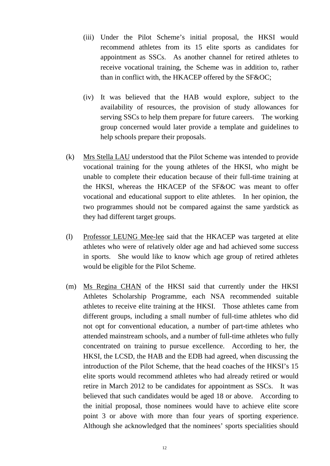- (iii) Under the Pilot Scheme's initial proposal, the HKSI would recommend athletes from its 15 elite sports as candidates for appointment as SSCs. As another channel for retired athletes to receive vocational training, the Scheme was in addition to, rather than in conflict with, the HKACEP offered by the SF&OC;
- (iv) It was believed that the HAB would explore, subject to the availability of resources, the provision of study allowances for serving SSCs to help them prepare for future careers. The working group concerned would later provide a template and guidelines to help schools prepare their proposals.
- (k) Mrs Stella LAU understood that the Pilot Scheme was intended to provide vocational training for the young athletes of the HKSI, who might be unable to complete their education because of their full-time training at the HKSI, whereas the HKACEP of the SF&OC was meant to offer vocational and educational support to elite athletes. In her opinion, the two programmes should not be compared against the same yardstick as they had different target groups.
- (l) Professor LEUNG Mee-lee said that the HKACEP was targeted at elite athletes who were of relatively older age and had achieved some success in sports. She would like to know which age group of retired athletes would be eligible for the Pilot Scheme.
- (m) Ms Regina CHAN of the HKSI said that currently under the HKSI Athletes Scholarship Programme, each NSA recommended suitable athletes to receive elite training at the HKSI. Those athletes came from different groups, including a small number of full-time athletes who did not opt for conventional education, a number of part-time athletes who attended mainstream schools, and a number of full-time athletes who fully concentrated on training to pursue excellence. According to her, the HKSI, the LCSD, the HAB and the EDB had agreed, when discussing the introduction of the Pilot Scheme, that the head coaches of the HKSI's 15 elite sports would recommend athletes who had already retired or would retire in March 2012 to be candidates for appointment as SSCs. It was believed that such candidates would be aged 18 or above. According to the initial proposal, those nominees would have to achieve elite score point 3 or above with more than four years of sporting experience. Although she acknowledged that the nominees' sports specialities should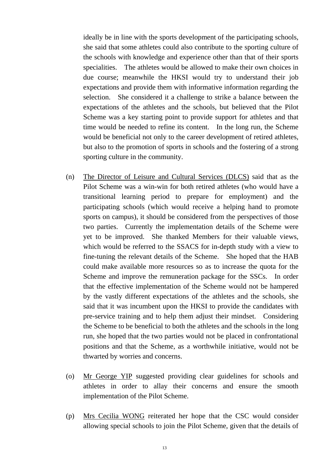ideally be in line with the sports development of the participating schools, she said that some athletes could also contribute to the sporting culture of the schools with knowledge and experience other than that of their sports specialities. The athletes would be allowed to make their own choices in due course; meanwhile the HKSI would try to understand their job expectations and provide them with informative information regarding the selection. She considered it a challenge to strike a balance between the expectations of the athletes and the schools, but believed that the Pilot Scheme was a key starting point to provide support for athletes and that time would be needed to refine its content. In the long run, the Scheme would be beneficial not only to the career development of retired athletes, but also to the promotion of sports in schools and the fostering of a strong sporting culture in the community.

- (n) The Director of Leisure and Cultural Services (DLCS) said that as the Pilot Scheme was a win-win for both retired athletes (who would have a transitional learning period to prepare for employment) and the participating schools (which would receive a helping hand to promote sports on campus), it should be considered from the perspectives of those two parties. Currently the implementation details of the Scheme were yet to be improved. She thanked Members for their valuable views, which would be referred to the SSACS for in-depth study with a view to fine-tuning the relevant details of the Scheme. She hoped that the HAB could make available more resources so as to increase the quota for the Scheme and improve the remuneration package for the SSCs. In order that the effective implementation of the Scheme would not be hampered by the vastly different expectations of the athletes and the schools, she said that it was incumbent upon the HKSI to provide the candidates with pre-service training and to help them adjust their mindset. Considering the Scheme to be beneficial to both the athletes and the schools in the long run, she hoped that the two parties would not be placed in confrontational positions and that the Scheme, as a worthwhile initiative, would not be thwarted by worries and concerns.
- (o) Mr George YIP suggested providing clear guidelines for schools and athletes in order to allay their concerns and ensure the smooth implementation of the Pilot Scheme.
- (p) Mrs Cecilia WONG reiterated her hope that the CSC would consider allowing special schools to join the Pilot Scheme, given that the details of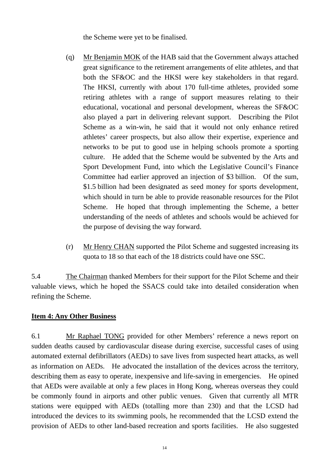the Scheme were yet to be finalised.

- (q) Mr Benjamin MOK of the HAB said that the Government always attached great significance to the retirement arrangements of elite athletes, and that both the SF&OC and the HKSI were key stakeholders in that regard. The HKSI, currently with about 170 full-time athletes, provided some retiring athletes with a range of support measures relating to their educational, vocational and personal development, whereas the SF&OC also played a part in delivering relevant support. Describing the Pilot Scheme as a win-win, he said that it would not only enhance retired athletes' career prospects, but also allow their expertise, experience and networks to be put to good use in helping schools promote a sporting culture. He added that the Scheme would be subvented by the Arts and Sport Development Fund, into which the Legislative Council's Finance Committee had earlier approved an injection of \$3 billion. Of the sum, \$1.5 billion had been designated as seed money for sports development, which should in turn be able to provide reasonable resources for the Pilot Scheme. He hoped that through implementing the Scheme, a better understanding of the needs of athletes and schools would be achieved for the purpose of devising the way forward.
- (r) Mr Henry CHAN supported the Pilot Scheme and suggested increasing its quota to 18 so that each of the 18 districts could have one SSC.

5.4 The Chairman thanked Members for their support for the Pilot Scheme and their valuable views, which he hoped the SSACS could take into detailed consideration when refining the Scheme.

### **Item 4: Any Other Business**

6.1 Mr Raphael TONG provided for other Members' reference a news report on sudden deaths caused by cardiovascular disease during exercise, successful cases of using automated external defibrillators (AEDs) to save lives from suspected heart attacks, as well as information on AEDs. He advocated the installation of the devices across the territory, describing them as easy to operate, inexpensive and life-saving in emergencies. He opined that AEDs were available at only a few places in Hong Kong, whereas overseas they could be commonly found in airports and other public venues. Given that currently all MTR stations were equipped with AEDs (totalling more than 230) and that the LCSD had introduced the devices to its swimming pools, he recommended that the LCSD extend the provision of AEDs to other land-based recreation and sports facilities. He also suggested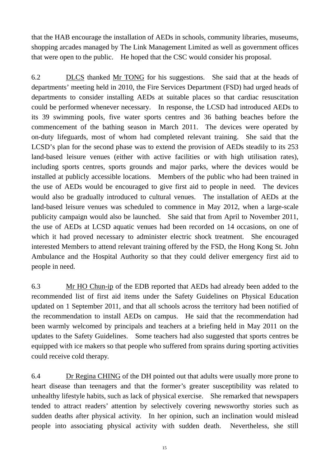that the HAB encourage the installation of AEDs in schools, community libraries, museums, shopping arcades managed by The Link Management Limited as well as government offices that were open to the public. He hoped that the CSC would consider his proposal.

6.2 DLCS thanked Mr TONG for his suggestions. She said that at the heads of departments' meeting held in 2010, the Fire Services Department (FSD) had urged heads of departments to consider installing AEDs at suitable places so that cardiac resuscitation could be performed whenever necessary. In response, the LCSD had introduced AEDs to its 39 swimming pools, five water sports centres and 36 bathing beaches before the commencement of the bathing season in March 2011. The devices were operated by on-duty lifeguards, most of whom had completed relevant training. She said that the LCSD's plan for the second phase was to extend the provision of AEDs steadily to its 253 land-based leisure venues (either with active facilities or with high utilisation rates), including sports centres, sports grounds and major parks, where the devices would be installed at publicly accessible locations. Members of the public who had been trained in the use of AEDs would be encouraged to give first aid to people in need. The devices would also be gradually introduced to cultural venues. The installation of AEDs at the land-based leisure venues was scheduled to commence in May 2012, when a large-scale publicity campaign would also be launched. She said that from April to November 2011, the use of AEDs at LCSD aquatic venues had been recorded on 14 occasions, on one of which it had proved necessary to administer electric shock treatment. She encouraged interested Members to attend relevant training offered by the FSD, the Hong Kong St. John Ambulance and the Hospital Authority so that they could deliver emergency first aid to people in need.

6.3 Mr HO Chun-ip of the EDB reported that AEDs had already been added to the recommended list of first aid items under the Safety Guidelines on Physical Education updated on 1 September 2011, and that all schools across the territory had been notified of the recommendation to install AEDs on campus. He said that the recommendation had been warmly welcomed by principals and teachers at a briefing held in May 2011 on the updates to the Safety Guidelines. Some teachers had also suggested that sports centres be equipped with ice makers so that people who suffered from sprains during sporting activities could receive cold therapy.

6.4 Dr Regina CHING of the DH pointed out that adults were usually more prone to heart disease than teenagers and that the former's greater susceptibility was related to unhealthy lifestyle habits, such as lack of physical exercise. She remarked that newspapers tended to attract readers' attention by selectively covering newsworthy stories such as sudden deaths after physical activity. In her opinion, such an inclination would mislead people into associating physical activity with sudden death. Nevertheless, she still